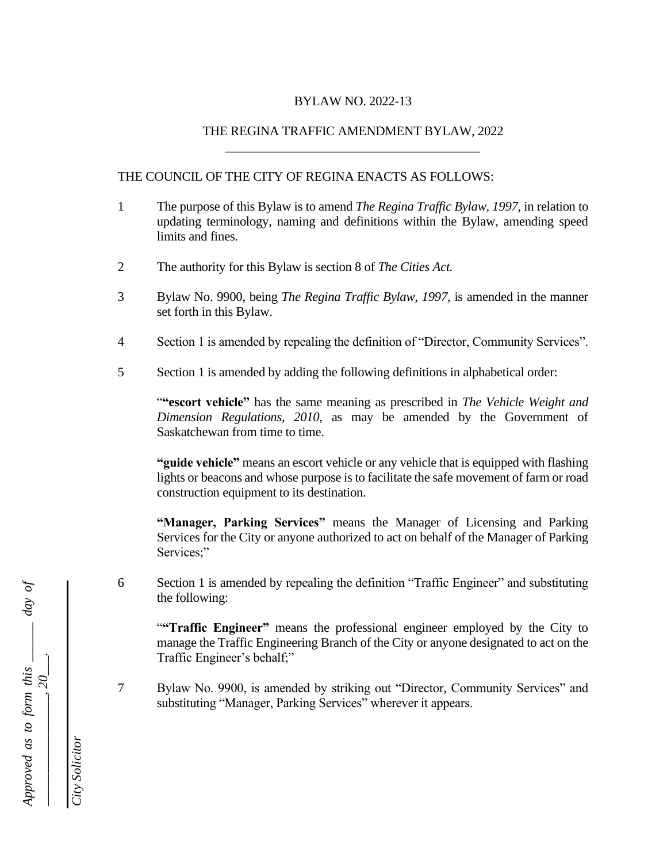### BYLAW NO. 2022-13

### THE REGINA TRAFFIC AMENDMENT BYLAW, 2022 \_\_\_\_\_\_\_\_\_\_\_\_\_\_\_\_\_\_\_\_\_\_\_\_\_\_\_\_\_\_\_\_\_\_\_\_\_\_\_

### THE COUNCIL OF THE CITY OF REGINA ENACTS AS FOLLOWS:

- 1 The purpose of this Bylaw is to amend *The Regina Traffic Bylaw, 1997,* in relation to updating terminology, naming and definitions within the Bylaw, amending speed limits and fines.
- 2 The authority for this Bylaw is section 8 of *The Cities Act.*
- 3 Bylaw No. 9900, being *The Regina Traffic Bylaw, 1997,* is amended in the manner set forth in this Bylaw.
- 4 Section 1 is amended by repealing the definition of "Director, Community Services".
- 5 Section 1 is amended by adding the following definitions in alphabetical order:

"**"escort vehicle"** has the same meaning as prescribed in *The Vehicle Weight and Dimension Regulations, 2010,* as may be amended by the Government of Saskatchewan from time to time.

**"guide vehicle"** means an escort vehicle or any vehicle that is equipped with flashing lights or beacons and whose purpose is to facilitate the safe movement of farm or road construction equipment to its destination.

**"Manager, Parking Services"** means the Manager of Licensing and Parking Services for the City or anyone authorized to act on behalf of the Manager of Parking Services;"

6 Section 1 is amended by repealing the definition "Traffic Engineer" and substituting the following:

**"Traffic Engineer"** means the professional engineer employed by the City to manage the Traffic Engineering Branch of the City or anyone designated to act on the Traffic Engineer's behalf;"

7 Bylaw No. 9900, is amended by striking out "Director, Community Services" and substituting "Manager, Parking Services" wherever it appears.

*Approved as to form this \_\_\_\_\_\_ day of*  Approved as to form this  $\frac{1}{20}$  day of *\_\_\_\_\_\_\_\_\_\_\_\_\_\_\_\_\_, 20\_\_\_.*

*City Solicitor*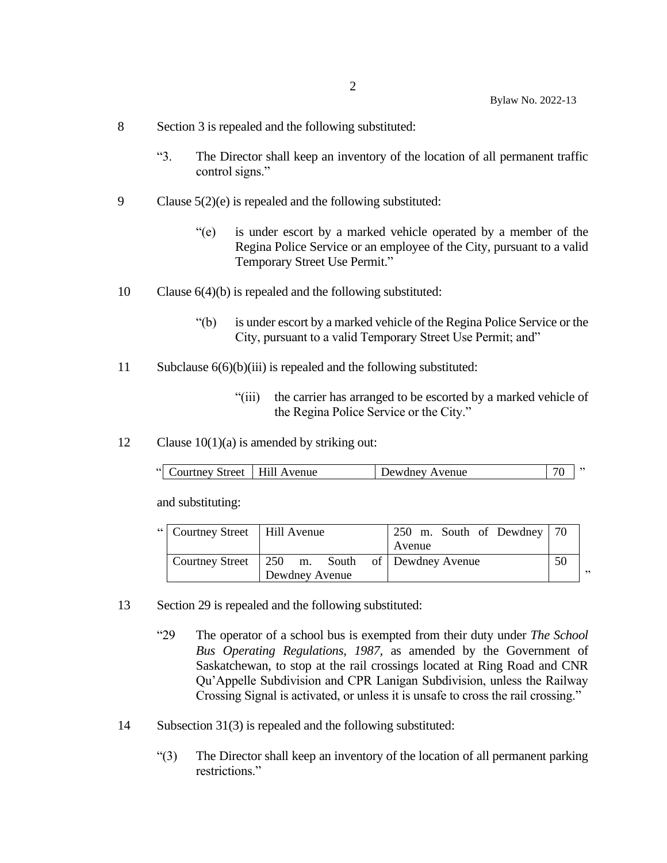- 8 Section 3 is repealed and the following substituted:
	- "3. The Director shall keep an inventory of the location of all permanent traffic control signs."
- 9 Clause 5(2)(e) is repealed and the following substituted:
	- "(e) is under escort by a marked vehicle operated by a member of the Regina Police Service or an employee of the City, pursuant to a valid Temporary Street Use Permit."
- 10 Clause 6(4)(b) is repealed and the following substituted:
	- "(b) is under escort by a marked vehicle of the Regina Police Service or the City, pursuant to a valid Temporary Street Use Permit; and"
- 11 Subclause 6(6)(b)(iii) is repealed and the following substituted:
	- "(iii) the carrier has arranged to be escorted by a marked vehicle of the Regina Police Service or the City."
- 12 Clause  $10(1)(a)$  is amended by striking out:

| $\left( \left  \right  \right $<br>Courtney Street   Hill Avenue | Dewdney Avenue |  |  |
|------------------------------------------------------------------|----------------|--|--|
|------------------------------------------------------------------|----------------|--|--|

and substituting:

| "  Courtney Street   Hill Avenue |                                                | 250 m. South of Dewdney 70 |    |    |
|----------------------------------|------------------------------------------------|----------------------------|----|----|
|                                  |                                                | Avenue                     |    |    |
|                                  | Courtney Street 250 m. South of Dewdney Avenue |                            | 50 |    |
|                                  | Dewdney Avenue                                 |                            |    | ,, |

- 13 Section 29 is repealed and the following substituted:
	- "29 The operator of a school bus is exempted from their duty under *The School Bus Operating Regulations, 1987,* as amended by the Government of Saskatchewan, to stop at the rail crossings located at Ring Road and CNR Qu'Appelle Subdivision and CPR Lanigan Subdivision, unless the Railway Crossing Signal is activated, or unless it is unsafe to cross the rail crossing."
- 14 Subsection 31(3) is repealed and the following substituted:
	- "(3) The Director shall keep an inventory of the location of all permanent parking restrictions."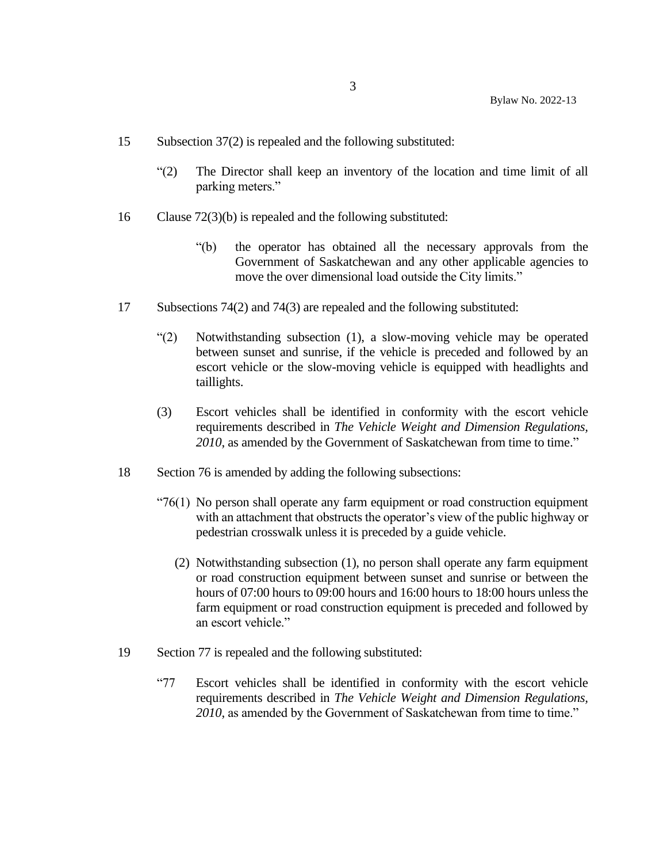- 15 Subsection 37(2) is repealed and the following substituted:
	- "(2) The Director shall keep an inventory of the location and time limit of all parking meters."
- 16 Clause 72(3)(b) is repealed and the following substituted:
	- "(b) the operator has obtained all the necessary approvals from the Government of Saskatchewan and any other applicable agencies to move the over dimensional load outside the City limits."
- 17 Subsections 74(2) and 74(3) are repealed and the following substituted:
	- "(2) Notwithstanding subsection (1), a slow-moving vehicle may be operated between sunset and sunrise, if the vehicle is preceded and followed by an escort vehicle or the slow-moving vehicle is equipped with headlights and taillights.
	- (3) Escort vehicles shall be identified in conformity with the escort vehicle requirements described in *The Vehicle Weight and Dimension Regulations, 2010*, as amended by the Government of Saskatchewan from time to time."
- 18 Section 76 is amended by adding the following subsections:
	- "76(1) No person shall operate any farm equipment or road construction equipment with an attachment that obstructs the operator's view of the public highway or pedestrian crosswalk unless it is preceded by a guide vehicle.
		- (2) Notwithstanding subsection (1), no person shall operate any farm equipment or road construction equipment between sunset and sunrise or between the hours of 07:00 hours to 09:00 hours and 16:00 hours to 18:00 hours unless the farm equipment or road construction equipment is preceded and followed by an escort vehicle."
- 19 Section 77 is repealed and the following substituted:
	- "77 Escort vehicles shall be identified in conformity with the escort vehicle requirements described in *The Vehicle Weight and Dimension Regulations, 2010*, as amended by the Government of Saskatchewan from time to time."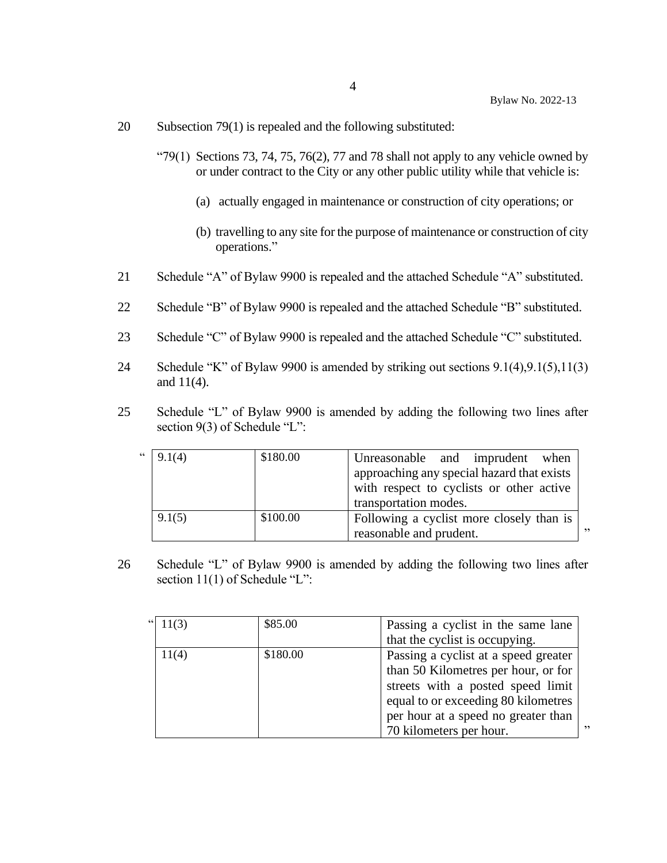- 20 Subsection 79(1) is repealed and the following substituted:
	- "79(1) Sections 73, 74, 75, 76(2), 77 and 78 shall not apply to any vehicle owned by or under contract to the City or any other public utility while that vehicle is:
		- (a) actually engaged in maintenance or construction of city operations; or
		- (b) travelling to any site for the purpose of maintenance or construction of city operations."
- 21 Schedule "A" of Bylaw 9900 is repealed and the attached Schedule "A" substituted.
- 22 Schedule "B" of Bylaw 9900 is repealed and the attached Schedule "B" substituted.
- 23 Schedule "C" of Bylaw 9900 is repealed and the attached Schedule "C" substituted.
- 24 Schedule "K" of Bylaw 9900 is amended by striking out sections 9.1(4),9.1(5),11(3) and 11(4).
- 25 Schedule "L" of Bylaw 9900 is amended by adding the following two lines after section 9(3) of Schedule "L":

| 66 | 9.1(4) | \$180.00 | Unreasonable and imprudent when            |    |
|----|--------|----------|--------------------------------------------|----|
|    |        |          | approaching any special hazard that exists |    |
|    |        |          | with respect to cyclists or other active   |    |
|    |        |          | transportation modes.                      |    |
|    | 9.1(5) | \$100.00 | Following a cyclist more closely than is   |    |
|    |        |          | reasonable and prudent.                    | ,, |

26 Schedule "L" of Bylaw 9900 is amended by adding the following two lines after section 11(1) of Schedule "L":

| " $11(3)$ | \$85.00  | Passing a cyclist in the same lane   |
|-----------|----------|--------------------------------------|
|           |          | that the cyclist is occupying.       |
| 11(4)     | \$180.00 | Passing a cyclist at a speed greater |
|           |          | than 50 Kilometres per hour, or for  |
|           |          | streets with a posted speed limit    |
|           |          | equal to or exceeding 80 kilometres  |
|           |          | per hour at a speed no greater than  |
|           |          | ,,<br>70 kilometers per hour.        |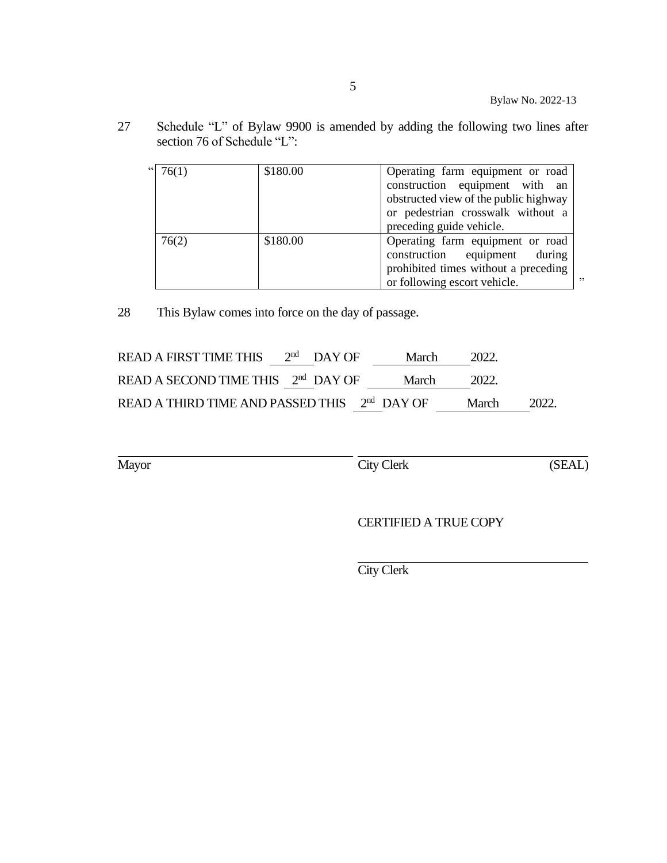27 Schedule "L" of Bylaw 9900 is amended by adding the following two lines after section 76 of Schedule "L":

| " $ 76(1)$ | \$180.00 | Operating farm equipment or road<br>construction equipment with an<br>obstructed view of the public highway<br>or pedestrian crosswalk without a<br>preceding guide vehicle. |
|------------|----------|------------------------------------------------------------------------------------------------------------------------------------------------------------------------------|
| 76(2)      | \$180.00 | Operating farm equipment or road<br>construction equipment<br>during<br>prohibited times without a preceding<br>,,<br>or following escort vehicle.                           |

28 This Bylaw comes into force on the day of passage.

| READ A FIRST TIME THIS $2nd$ DAY OF                      |  | March | 2022.  |       |
|----------------------------------------------------------|--|-------|--------|-------|
| READ A SECOND TIME THIS 2 <sup>nd</sup> DAY OF           |  | March | -2022. |       |
| READ A THIRD TIME AND PASSED THIS 2 <sup>nd</sup> DAY OF |  |       | March  | 2022. |

Mayor City Clerk (SEAL)

CERTIFIED A TRUE COPY

City Clerk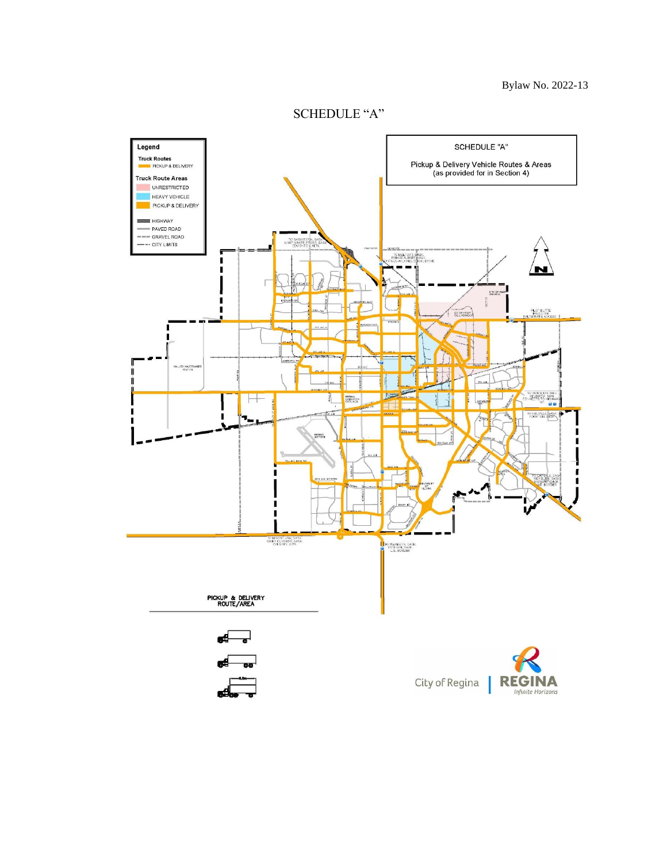

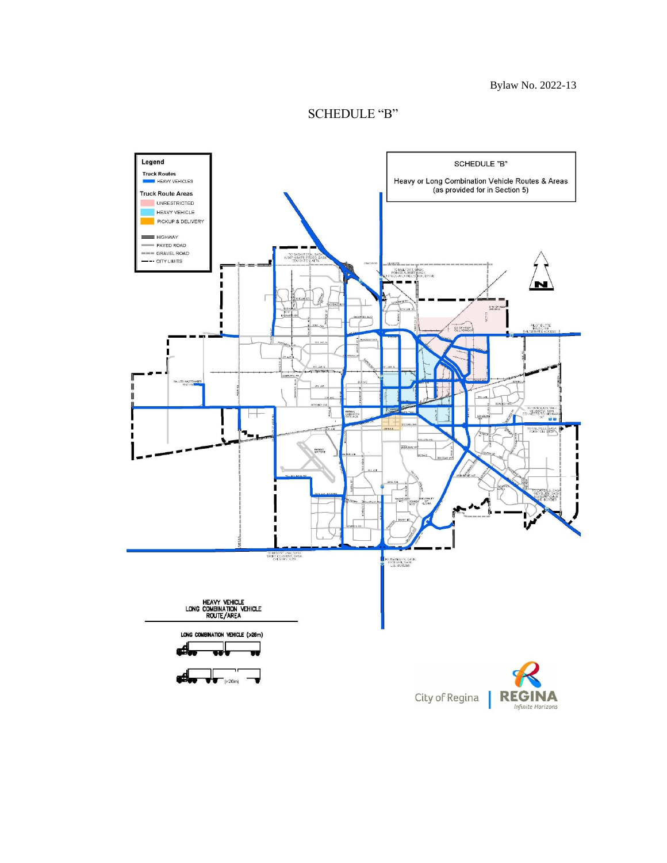

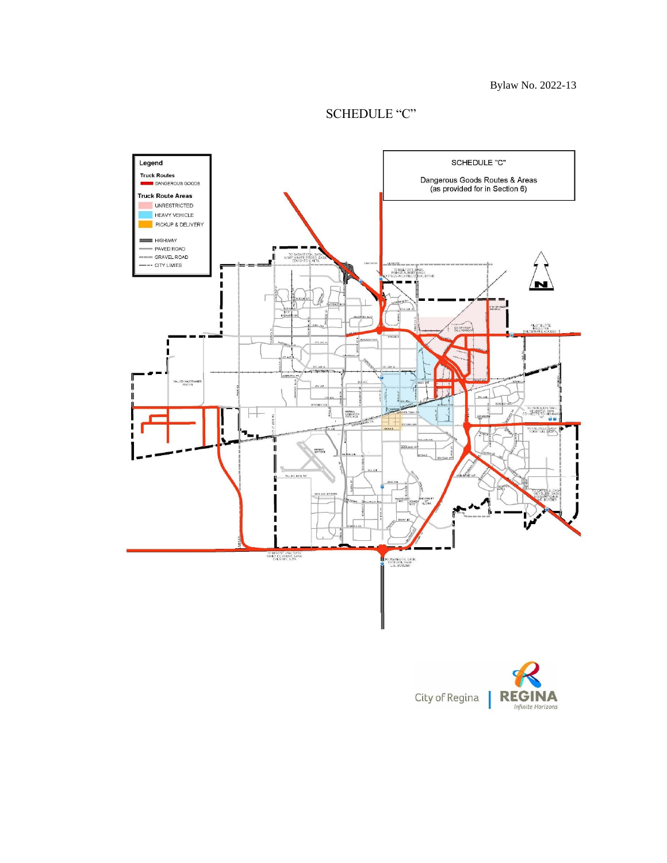## SCHEDULE "C"